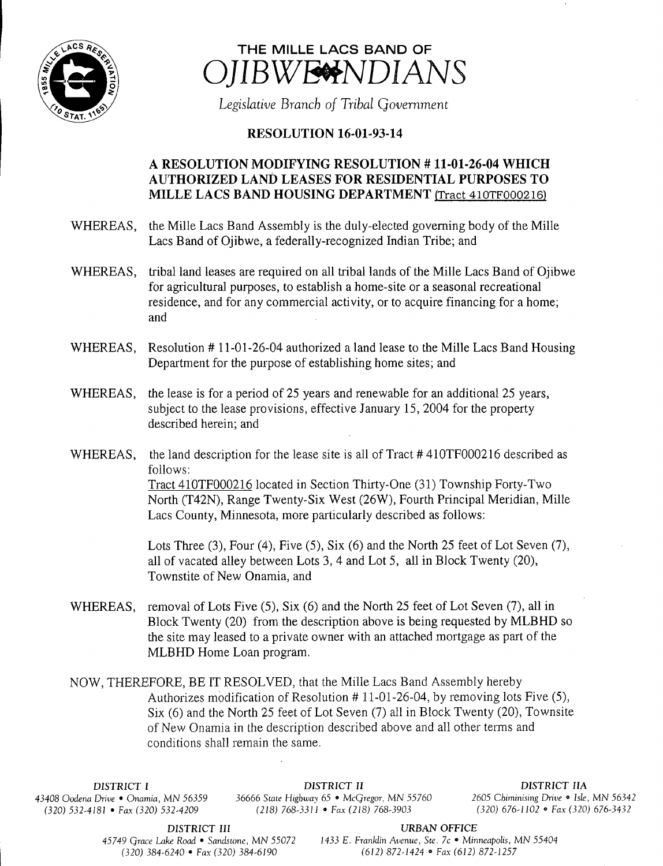



Legislative Branch of Tribal Government

## **RESOLUTION 16-01-93-14**

## A RESOLUTION MODIFYING RESOLUTION #11-01-26-04 WHICH AUTHORIZED LAND LEASES FOR RESIDENTIAL PURPOSES TO MILLE LACS BAND HOUSING DEPARTMENT (Tract 410TF000216)

- WHEREAS, the Mille Lacs Band Assembly is the duly-elected governing body of the Mille Lacs Band of Ojibwe, a federally-recognized Indian Tribe; and
- WHEREAS, tribal land leases are required on all tribal lands of the Mille Lacs Band of Ojibwe for agricultural purposes, to establish a home-site or <sup>a</sup> seasonal recreational residence, and for any commercial activity, or to acquire financing for <sup>a</sup> home; and
- WHEREAS, Resolution #11-01-26-04 authorized a land lease to the Mille Lacs Band Housing Department for the purpose of establishing home sites; and
- WHEREAS, the lease is for a period of 25 years and renewable for an additional 25 years, subject to the lease provisions, effective January 15, 2004 for the property described herein; and
- WHEREAS, the land description for the lease site is all of Tract #410TF000216 described as follows: Tract 410TF000216 located in Section Thirty-One (31) Township Forty-Two North (T42N), Range Twenty-Six West( 26W), Fourth Principal Meridian, Mille Lacs County, Minnesota, more particularly described as follows:

Lots Three  $(3)$ , Four  $(4)$ , Five  $(5)$ , Six  $(6)$  and the North 25 feet of Lot Seven  $(7)$ , all of vacated alley between Lots 3, <sup>4</sup> and Lot 5, all in Block Twenty (20), Townstite of New Onamia, and

WHEREAS, removal of Lots Five  $(5)$ , Six  $(6)$  and the North 25 feet of Lot Seven  $(7)$ , all in Block Twenty (20) from the description above is being requested by MLBHD so the site may leased to <sup>a</sup> private owner with an attached mortgage as part of the MLBHD Home Loan program.

NOW, THEREFORE, BE IT RESOLVED, that the Mille Lacs Band Assembly hereby Authorizes modification of Resolution  $# 11-01-26-04$ , by removing lots Five (5), Six (6) and the North 25 feet of Lot Seven (7) all in Block Twenty (20), Townsite of New Onamia in the description described above and all other terms and conditions shall remain the same.

 $(320)$  532-4181 • Fax(320) 532-4209

DISTRICT I DISTRICT II DISTRICT IIA 43408 Oodena Drive • Onamia, MN 56359 36666 State Highway 65 • McGregor, MN 55760 <sup>2605</sup> Chiminising Drive • Isle, MN 56342

DISTRICT III URBAN OFFICE

45749 Grace Lake Road • Sandstone, MN 55072 1433 E. Franklin Avenue, Ste. 7c • Minneapolis, MN 55404 320) 384- 6240 • Fax( 320) 384- 6190 612) 872- 1424 • Fax( 612) 872- 1257